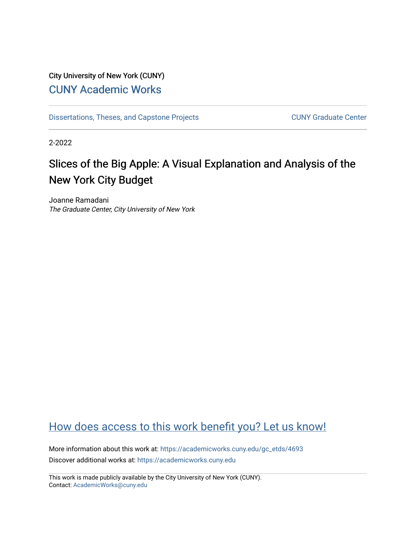# City University of New York (CUNY) [CUNY Academic Works](https://academicworks.cuny.edu/)

[Dissertations, Theses, and Capstone Projects](https://academicworks.cuny.edu/gc_etds) CUNY Graduate Center

2-2022

# Slices of the Big Apple: A Visual Explanation and Analysis of the New York City Budget

Joanne Ramadani The Graduate Center, City University of New York

# [How does access to this work benefit you? Let us know!](http://ols.cuny.edu/academicworks/?ref=https://academicworks.cuny.edu/gc_etds/4693)

More information about this work at: [https://academicworks.cuny.edu/gc\\_etds/4693](https://academicworks.cuny.edu/gc_etds/4693) Discover additional works at: [https://academicworks.cuny.edu](https://academicworks.cuny.edu/?)

This work is made publicly available by the City University of New York (CUNY). Contact: [AcademicWorks@cuny.edu](mailto:AcademicWorks@cuny.edu)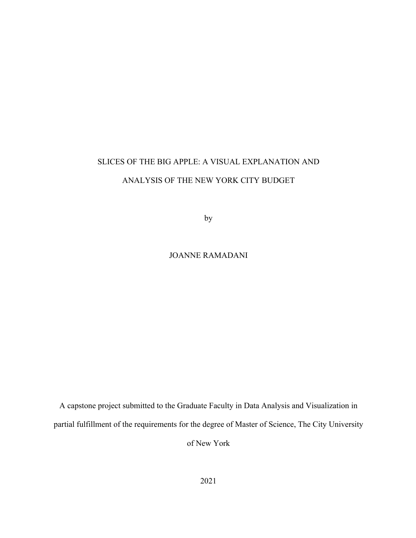# SLICES OF THE BIG APPLE: A VISUAL EXPLANATION AND ANALYSIS OF THE NEW YORK CITY BUDGET

by

JOANNE RAMADANI

A capstone project submitted to the Graduate Faculty in Data Analysis and Visualization in partial fulfillment of the requirements for the degree of Master of Science, The City University

of New York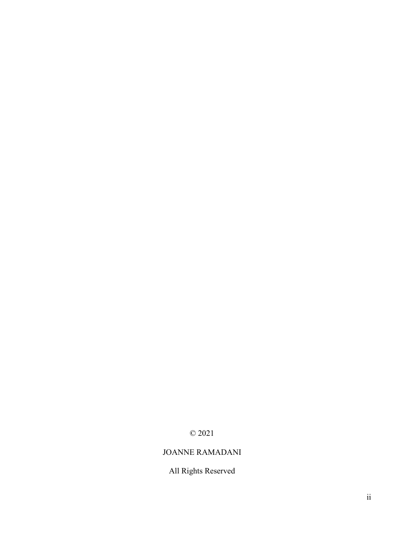© 2021

# JOANNE RAMADANI

# All Rights Reserved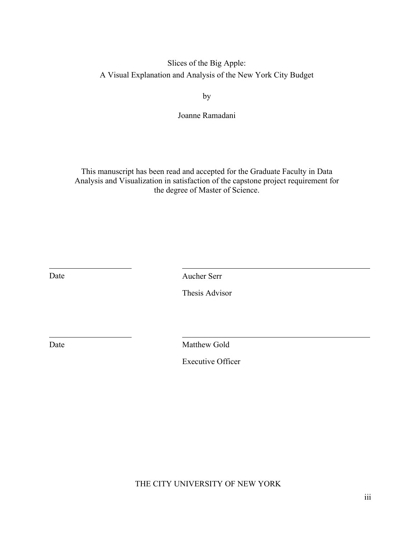# Slices of the Big Apple: A Visual Explanation and Analysis of the New York City Budget

by

Joanne Ramadani

This manuscript has been read and accepted for the Graduate Faculty in Data Analysis and Visualization in satisfaction of the capstone project requirement for the degree of Master of Science.

Date Aucher Serr

Thesis Advisor

Date Matthew Gold

Executive Officer

THE CITY UNIVERSITY OF NEW YORK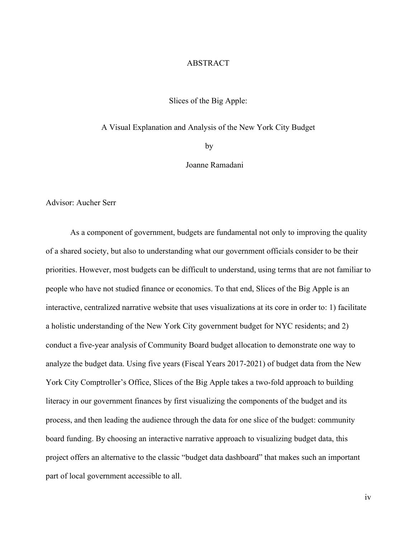#### ABSTRACT

#### Slices of the Big Apple:

A Visual Explanation and Analysis of the New York City Budget

by

Joanne Ramadani

Advisor: Aucher Serr

As a component of government, budgets are fundamental not only to improving the quality of a shared society, but also to understanding what our government officials consider to be their priorities. However, most budgets can be difficult to understand, using terms that are not familiar to people who have not studied finance or economics. To that end, Slices of the Big Apple is an interactive, centralized narrative website that uses visualizations at its core in order to: 1) facilitate a holistic understanding of the New York City government budget for NYC residents; and 2) conduct a five-year analysis of Community Board budget allocation to demonstrate one way to analyze the budget data. Using five years (Fiscal Years 2017-2021) of budget data from the New York City Comptroller's Office, Slices of the Big Apple takes a two-fold approach to building literacy in our government finances by first visualizing the components of the budget and its process, and then leading the audience through the data for one slice of the budget: community board funding. By choosing an interactive narrative approach to visualizing budget data, this project offers an alternative to the classic "budget data dashboard" that makes such an important part of local government accessible to all.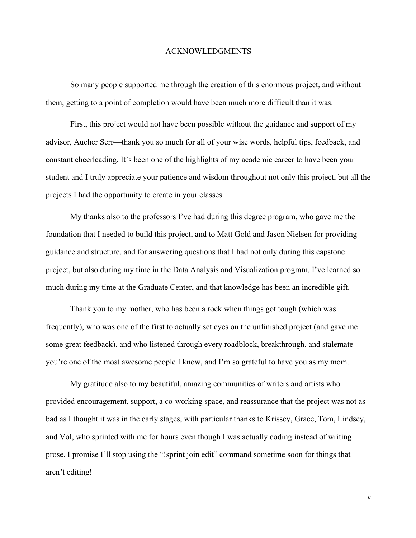#### ACKNOWLEDGMENTS

So many people supported me through the creation of this enormous project, and without them, getting to a point of completion would have been much more difficult than it was.

First, this project would not have been possible without the guidance and support of my advisor, Aucher Serr—thank you so much for all of your wise words, helpful tips, feedback, and constant cheerleading. It's been one of the highlights of my academic career to have been your student and I truly appreciate your patience and wisdom throughout not only this project, but all the projects I had the opportunity to create in your classes.

My thanks also to the professors I've had during this degree program, who gave me the foundation that I needed to build this project, and to Matt Gold and Jason Nielsen for providing guidance and structure, and for answering questions that I had not only during this capstone project, but also during my time in the Data Analysis and Visualization program. I've learned so much during my time at the Graduate Center, and that knowledge has been an incredible gift.

Thank you to my mother, who has been a rock when things got tough (which was frequently), who was one of the first to actually set eyes on the unfinished project (and gave me some great feedback), and who listened through every roadblock, breakthrough, and stalemate you're one of the most awesome people I know, and I'm so grateful to have you as my mom.

My gratitude also to my beautiful, amazing communities of writers and artists who provided encouragement, support, a co-working space, and reassurance that the project was not as bad as I thought it was in the early stages, with particular thanks to Krissey, Grace, Tom, Lindsey, and Vol, who sprinted with me for hours even though I was actually coding instead of writing prose. I promise I'll stop using the "!sprint join edit" command sometime soon for things that aren't editing!

v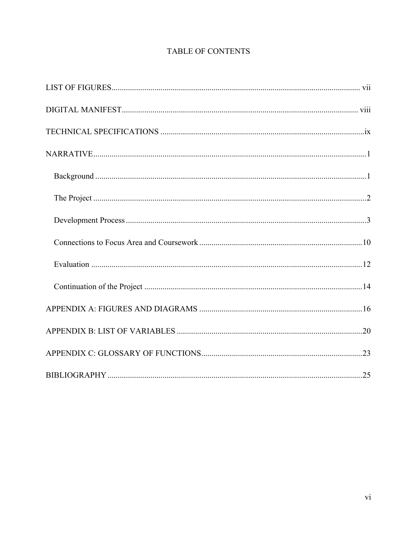# TABLE OF CONTENTS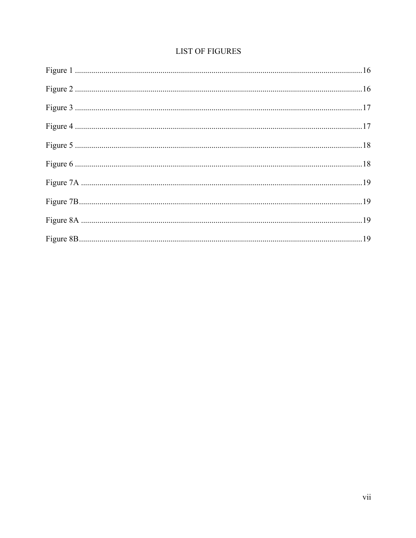## **LIST OF FIGURES**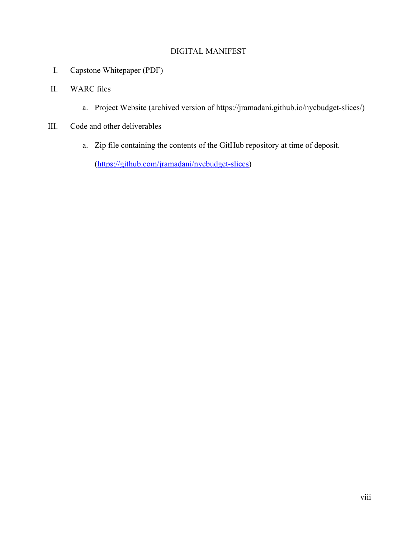## DIGITAL MANIFEST

- I. Capstone Whitepaper (PDF)
- II. WARC files
	- a. Project Website (archived version of https://jramadani.github.io/nycbudget-slices/)
- III. Code and other deliverables
	- a. Zip file containing the contents of the GitHub repository at time of deposit.

(https://github.com/jramadani/nycbudget-slices)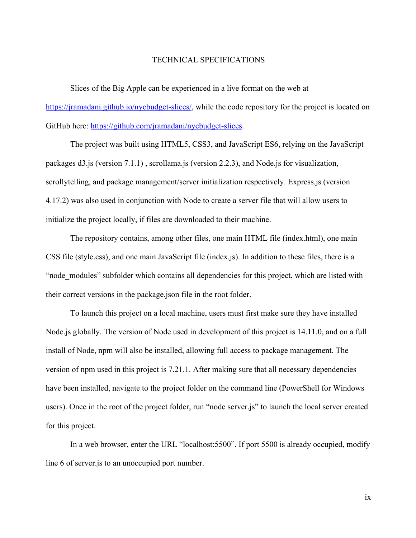#### TECHNICAL SPECIFICATIONS

Slices of the Big Apple can be experienced in a live format on the web at https://jramadani.github.io/nycbudget-slices/, while the code repository for the project is located on GitHub here: https://github.com/jramadani/nycbudget-slices.

The project was built using HTML5, CSS3, and JavaScript ES6, relying on the JavaScript packages d3.js (version 7.1.1) , scrollama.js (version 2.2.3), and Node.js for visualization, scrollytelling, and package management/server initialization respectively. Express.js (version 4.17.2) was also used in conjunction with Node to create a server file that will allow users to initialize the project locally, if files are downloaded to their machine.

The repository contains, among other files, one main HTML file (index.html), one main CSS file (style.css), and one main JavaScript file (index.js). In addition to these files, there is a "node modules" subfolder which contains all dependencies for this project, which are listed with their correct versions in the package.json file in the root folder.

To launch this project on a local machine, users must first make sure they have installed Node.js globally. The version of Node used in development of this project is 14.11.0, and on a full install of Node, npm will also be installed, allowing full access to package management. The version of npm used in this project is 7.21.1. After making sure that all necessary dependencies have been installed, navigate to the project folder on the command line (PowerShell for Windows users). Once in the root of the project folder, run "node server.js" to launch the local server created for this project.

In a web browser, enter the URL "localhost:5500". If port 5500 is already occupied, modify line 6 of server.js to an unoccupied port number.

ix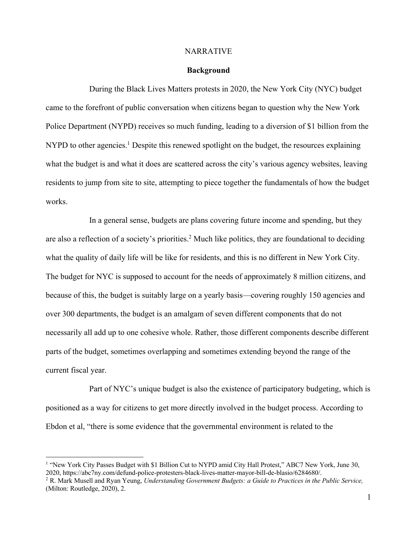#### NARRATIVE

#### **Background**

During the Black Lives Matters protests in 2020, the New York City (NYC) budget came to the forefront of public conversation when citizens began to question why the New York Police Department (NYPD) receives so much funding, leading to a diversion of \$1 billion from the NYPD to other agencies.<sup>1</sup> Despite this renewed spotlight on the budget, the resources explaining what the budget is and what it does are scattered across the city's various agency websites, leaving residents to jump from site to site, attempting to piece together the fundamentals of how the budget works.

In a general sense, budgets are plans covering future income and spending, but they are also a reflection of a society's priorities.<sup>2</sup> Much like politics, they are foundational to deciding what the quality of daily life will be like for residents, and this is no different in New York City. The budget for NYC is supposed to account for the needs of approximately 8 million citizens, and because of this, the budget is suitably large on a yearly basis—covering roughly 150 agencies and over 300 departments, the budget is an amalgam of seven different components that do not necessarily all add up to one cohesive whole. Rather, those different components describe different parts of the budget, sometimes overlapping and sometimes extending beyond the range of the current fiscal year.

Part of NYC's unique budget is also the existence of participatory budgeting, which is positioned as a way for citizens to get more directly involved in the budget process. According to Ebdon et al, "there is some evidence that the governmental environment is related to the

<sup>&</sup>lt;sup>1</sup> "New York City Passes Budget with \$1 Billion Cut to NYPD amid City Hall Protest," ABC7 New York, June 30, 2020, https://abc7ny.com/defund-police-protesters-black-lives-matter-mayor-bill-de-blasio/6284680/.

<sup>2</sup> R. Mark Musell and Ryan Yeung, *Understanding Government Budgets: a Guide to Practices in the Public Service,* (Milton: Routledge, 2020), 2.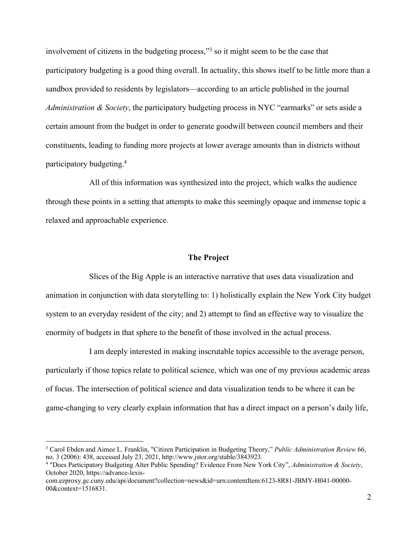involvement of citizens in the budgeting process,"3 so it might seem to be the case that participatory budgeting is a good thing overall. In actuality, this shows itself to be little more than a sandbox provided to residents by legislators—according to an article published in the journal *Administration & Society*, the participatory budgeting process in NYC "earmarks" or sets aside a certain amount from the budget in order to generate goodwill between council members and their constituents, leading to funding more projects at lower average amounts than in districts without participatory budgeting. 4

All of this information was synthesized into the project, which walks the audience through these points in a setting that attempts to make this seemingly opaque and immense topic a relaxed and approachable experience.

#### **The Project**

Slices of the Big Apple is an interactive narrative that uses data visualization and animation in conjunction with data storytelling to: 1) holistically explain the New York City budget system to an everyday resident of the city; and 2) attempt to find an effective way to visualize the enormity of budgets in that sphere to the benefit of those involved in the actual process.

I am deeply interested in making inscrutable topics accessible to the average person, particularly if those topics relate to political science, which was one of my previous academic areas of focus. The intersection of political science and data visualization tends to be where it can be game-changing to very clearly explain information that has a direct impact on a person's daily life,

<sup>3</sup> Carol Ebden and Aimee L. Franklin, "Citizen Participation in Budgeting Theory," *Public Administration Review* 66, no. 3 (2006): 438, accessed July 23, 2021, http://www.jstor.org/stable/3843923.

<sup>4</sup> "Does Participatory Budgeting Alter Public Spending? Evidence From New York City", *Administration & Society*, October 2020, https://advance-lexis-

com.ezproxy.gc.cuny.edu/api/document?collection=news&id=urn:contentItem:6123-8R81-JBMY-H041-00000- 00&context=1516831.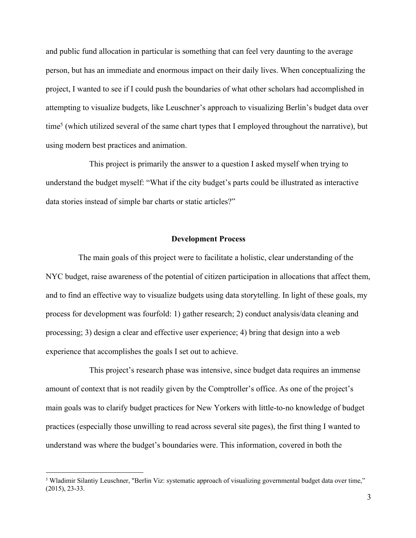and public fund allocation in particular is something that can feel very daunting to the average person, but has an immediate and enormous impact on their daily lives. When conceptualizing the project, I wanted to see if I could push the boundaries of what other scholars had accomplished in attempting to visualize budgets, like Leuschner's approach to visualizing Berlin's budget data over time<sup>5</sup> (which utilized several of the same chart types that I employed throughout the narrative), but using modern best practices and animation.

This project is primarily the answer to a question I asked myself when trying to understand the budget myself: "What if the city budget's parts could be illustrated as interactive data stories instead of simple bar charts or static articles?"

#### **Development Process**

The main goals of this project were to facilitate a holistic, clear understanding of the NYC budget, raise awareness of the potential of citizen participation in allocations that affect them, and to find an effective way to visualize budgets using data storytelling. In light of these goals, my process for development was fourfold: 1) gather research; 2) conduct analysis/data cleaning and processing; 3) design a clear and effective user experience; 4) bring that design into a web experience that accomplishes the goals I set out to achieve.

This project's research phase was intensive, since budget data requires an immense amount of context that is not readily given by the Comptroller's office. As one of the project's main goals was to clarify budget practices for New Yorkers with little-to-no knowledge of budget practices (especially those unwilling to read across several site pages), the first thing I wanted to understand was where the budget's boundaries were. This information, covered in both the

<sup>&</sup>lt;sup>5</sup> Wladimir Silantiy Leuschner, "Berlin Viz: systematic approach of visualizing governmental budget data over time," (2015), 23-33.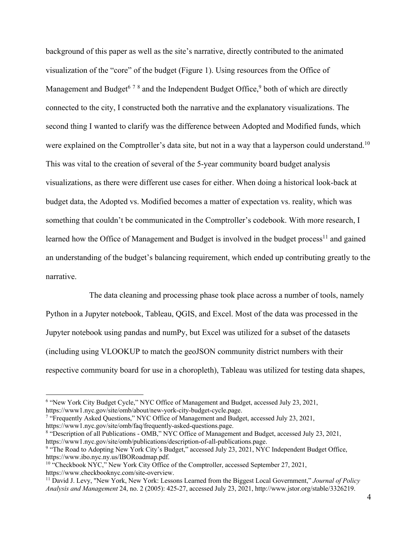background of this paper as well as the site's narrative, directly contributed to the animated visualization of the "core" of the budget (Figure 1). Using resources from the Office of Management and Budget<sup>678</sup> and the Independent Budget Office,<sup>9</sup> both of which are directly connected to the city, I constructed both the narrative and the explanatory visualizations. The second thing I wanted to clarify was the difference between Adopted and Modified funds, which were explained on the Comptroller's data site, but not in a way that a layperson could understand.<sup>10</sup> This was vital to the creation of several of the 5-year community board budget analysis visualizations, as there were different use cases for either. When doing a historical look-back at budget data, the Adopted vs. Modified becomes a matter of expectation vs. reality, which was something that couldn't be communicated in the Comptroller's codebook. With more research, I learned how the Office of Management and Budget is involved in the budget process<sup>11</sup> and gained an understanding of the budget's balancing requirement, which ended up contributing greatly to the narrative.

The data cleaning and processing phase took place across a number of tools, namely Python in a Jupyter notebook, Tableau, QGIS, and Excel. Most of the data was processed in the Jupyter notebook using pandas and numPy, but Excel was utilized for a subset of the datasets (including using VLOOKUP to match the geoJSON community district numbers with their respective community board for use in a choropleth), Tableau was utilized for testing data shapes,

<sup>6</sup> "New York City Budget Cycle," NYC Office of Management and Budget, accessed July 23, 2021, https://www1.nyc.gov/site/omb/about/new-york-city-budget-cycle.page.

<sup>7</sup> "Frequently Asked Questions," NYC Office of Management and Budget, accessed July 23, 2021, https://www1.nyc.gov/site/omb/faq/frequently-asked-questions.page.

<sup>8</sup> "Description of all Publications - OMB," NYC Office of Management and Budget, accessed July 23, 2021, https://www1.nyc.gov/site/omb/publications/description-of-all-publications.page.

<sup>&</sup>lt;sup>9</sup> "The Road to Adopting New York City's Budget," accessed July 23, 2021, NYC Independent Budget Office, https://www.ibo.nyc.ny.us/IBORoadmap.pdf.

<sup>&</sup>lt;sup>10 "</sup>Checkbook NYC," New York City Office of the Comptroller, accessed September 27, 2021, https://www.checkbooknyc.com/site-overview.

<sup>11</sup> David J. Levy, "New York, New York: Lessons Learned from the Biggest Local Government," *Journal of Policy Analysis and Management* 24, no. 2 (2005): 425-27, accessed July 23, 2021, http://www.jstor.org/stable/3326219.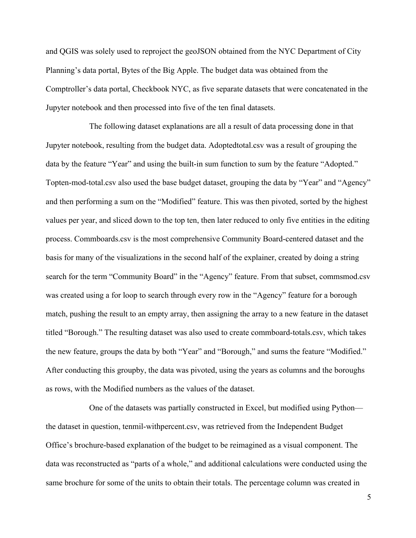and QGIS was solely used to reproject the geoJSON obtained from the NYC Department of City Planning's data portal, Bytes of the Big Apple. The budget data was obtained from the Comptroller's data portal, Checkbook NYC, as five separate datasets that were concatenated in the Jupyter notebook and then processed into five of the ten final datasets.

The following dataset explanations are all a result of data processing done in that Jupyter notebook, resulting from the budget data. Adoptedtotal.csv was a result of grouping the data by the feature "Year" and using the built-in sum function to sum by the feature "Adopted." Topten-mod-total.csv also used the base budget dataset, grouping the data by "Year" and "Agency" and then performing a sum on the "Modified" feature. This was then pivoted, sorted by the highest values per year, and sliced down to the top ten, then later reduced to only five entities in the editing process. Commboards.csv is the most comprehensive Community Board-centered dataset and the basis for many of the visualizations in the second half of the explainer, created by doing a string search for the term "Community Board" in the "Agency" feature. From that subset, commsmod.csv was created using a for loop to search through every row in the "Agency" feature for a borough match, pushing the result to an empty array, then assigning the array to a new feature in the dataset titled "Borough." The resulting dataset was also used to create commboard-totals.csv, which takes the new feature, groups the data by both "Year" and "Borough," and sums the feature "Modified." After conducting this groupby, the data was pivoted, using the years as columns and the boroughs as rows, with the Modified numbers as the values of the dataset.

One of the datasets was partially constructed in Excel, but modified using Python the dataset in question, tenmil-withpercent.csv, was retrieved from the Independent Budget Office's brochure-based explanation of the budget to be reimagined as a visual component. The data was reconstructed as "parts of a whole," and additional calculations were conducted using the same brochure for some of the units to obtain their totals. The percentage column was created in

5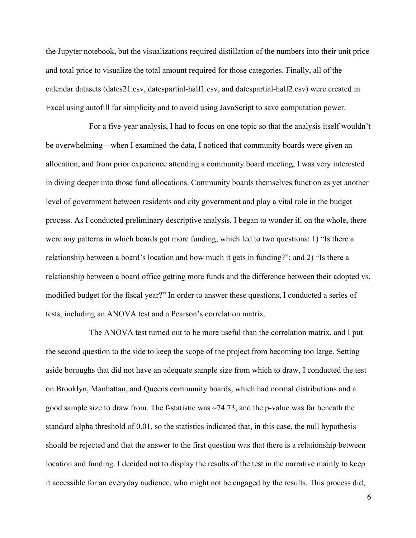the Jupyter notebook, but the visualizations required distillation of the numbers into their unit price and total price to visualize the total amount required for those categories. Finally, all of the calendar datasets (dates21.csv, datespartial-half1.csv, and datespartial-half2.csv) were created in Excel using autofill for simplicity and to avoid using JavaScript to save computation power.

For a five-year analysis, I had to focus on one topic so that the analysis itself wouldn't be overwhelming—when I examined the data, I noticed that community boards were given an allocation, and from prior experience attending a community board meeting, I was very interested in diving deeper into those fund allocations. Community boards themselves function as yet another level of government between residents and city government and play a vital role in the budget process. As I conducted preliminary descriptive analysis, I began to wonder if, on the whole, there were any patterns in which boards got more funding, which led to two questions: 1) "Is there a relationship between a board's location and how much it gets in funding?"; and 2) "Is there a relationship between a board office getting more funds and the difference between their adopted vs. modified budget for the fiscal year?" In order to answer these questions, I conducted a series of tests, including an ANOVA test and a Pearson's correlation matrix.

The ANOVA test turned out to be more useful than the correlation matrix, and I put the second question to the side to keep the scope of the project from becoming too large. Setting aside boroughs that did not have an adequate sample size from which to draw, I conducted the test on Brooklyn, Manhattan, and Queens community boards, which had normal distributions and a good sample size to draw from. The f-statistic was  $\sim$ 74.73, and the p-value was far beneath the standard alpha threshold of 0.01, so the statistics indicated that, in this case, the null hypothesis should be rejected and that the answer to the first question was that there is a relationship between location and funding. I decided not to display the results of the test in the narrative mainly to keep it accessible for an everyday audience, who might not be engaged by the results. This process did,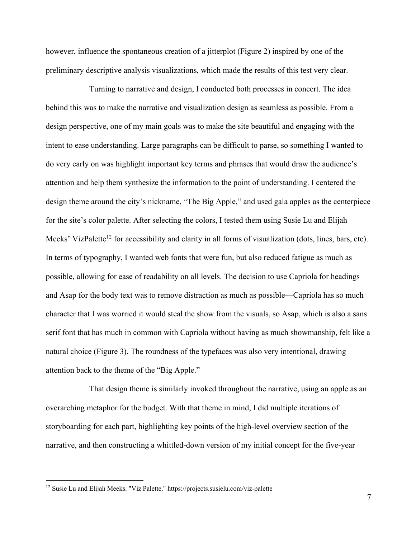however, influence the spontaneous creation of a jitterplot (Figure 2) inspired by one of the preliminary descriptive analysis visualizations, which made the results of this test very clear.

Turning to narrative and design, I conducted both processes in concert. The idea behind this was to make the narrative and visualization design as seamless as possible. From a design perspective, one of my main goals was to make the site beautiful and engaging with the intent to ease understanding. Large paragraphs can be difficult to parse, so something I wanted to do very early on was highlight important key terms and phrases that would draw the audience's attention and help them synthesize the information to the point of understanding. I centered the design theme around the city's nickname, "The Big Apple," and used gala apples as the centerpiece for the site's color palette. After selecting the colors, I tested them using Susie Lu and Elijah Meeks' VizPalette<sup>12</sup> for accessibility and clarity in all forms of visualization (dots, lines, bars, etc). In terms of typography, I wanted web fonts that were fun, but also reduced fatigue as much as possible, allowing for ease of readability on all levels. The decision to use Capriola for headings and Asap for the body text was to remove distraction as much as possible—Capriola has so much character that I was worried it would steal the show from the visuals, so Asap, which is also a sans serif font that has much in common with Capriola without having as much showmanship, felt like a natural choice (Figure 3). The roundness of the typefaces was also very intentional, drawing attention back to the theme of the "Big Apple."

That design theme is similarly invoked throughout the narrative, using an apple as an overarching metaphor for the budget. With that theme in mind, I did multiple iterations of storyboarding for each part, highlighting key points of the high-level overview section of the narrative, and then constructing a whittled-down version of my initial concept for the five-year

<sup>12</sup> Susie Lu and Elijah Meeks. "Viz Palette." https://projects.susielu.com/viz-palette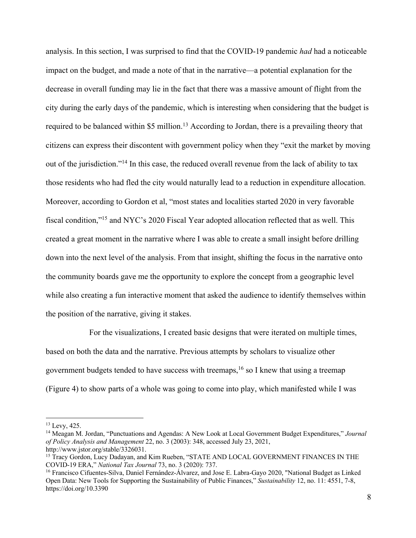analysis. In this section, I was surprised to find that the COVID-19 pandemic *had* had a noticeable impact on the budget, and made a note of that in the narrative—a potential explanation for the decrease in overall funding may lie in the fact that there was a massive amount of flight from the city during the early days of the pandemic, which is interesting when considering that the budget is required to be balanced within \$5 million.<sup>13</sup> According to Jordan, there is a prevailing theory that citizens can express their discontent with government policy when they "exit the market by moving out of the jurisdiction."<sup>14</sup> In this case, the reduced overall revenue from the lack of ability to tax those residents who had fled the city would naturally lead to a reduction in expenditure allocation. Moreover, according to Gordon et al, "most states and localities started 2020 in very favorable fiscal condition,"15 and NYC's 2020 Fiscal Year adopted allocation reflected that as well. This created a great moment in the narrative where I was able to create a small insight before drilling down into the next level of the analysis. From that insight, shifting the focus in the narrative onto the community boards gave me the opportunity to explore the concept from a geographic level while also creating a fun interactive moment that asked the audience to identify themselves within the position of the narrative, giving it stakes.

For the visualizations, I created basic designs that were iterated on multiple times, based on both the data and the narrative. Previous attempts by scholars to visualize other government budgets tended to have success with treemaps,  $16$  so I knew that using a treemap (Figure 4) to show parts of a whole was going to come into play, which manifested while I was

 $13$  Levy, 425.

<sup>14</sup> Meagan M. Jordan, "Punctuations and Agendas: A New Look at Local Government Budget Expenditures," *Journal of Policy Analysis and Management* 22, no. 3 (2003): 348, accessed July 23, 2021, http://www.jstor.org/stable/3326031.

<sup>&</sup>lt;sup>15</sup> Tracy Gordon, Lucy Dadayan, and Kim Rueben, "STATE AND LOCAL GOVERNMENT FINANCES IN THE COVID-19 ERA," *National Tax Journal* 73, no. 3 (2020): 737.

<sup>16</sup> Francisco Cifuentes-Silva, Daniel Fernández-Álvarez, and Jose E. Labra-Gayo 2020, "National Budget as Linked Open Data: New Tools for Supporting the Sustainability of Public Finances," *Sustainability* 12, no. 11: 4551, 7-8, https://doi.org/10.3390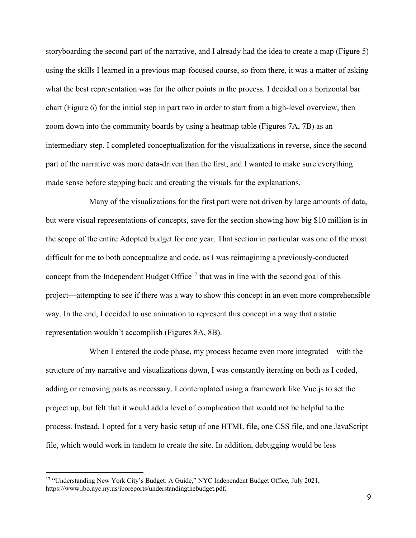storyboarding the second part of the narrative, and I already had the idea to create a map (Figure 5) using the skills I learned in a previous map-focused course, so from there, it was a matter of asking what the best representation was for the other points in the process. I decided on a horizontal bar chart (Figure 6) for the initial step in part two in order to start from a high-level overview, then zoom down into the community boards by using a heatmap table (Figures 7A, 7B) as an intermediary step. I completed conceptualization for the visualizations in reverse, since the second part of the narrative was more data-driven than the first, and I wanted to make sure everything made sense before stepping back and creating the visuals for the explanations.

Many of the visualizations for the first part were not driven by large amounts of data, but were visual representations of concepts, save for the section showing how big \$10 million is in the scope of the entire Adopted budget for one year. That section in particular was one of the most difficult for me to both conceptualize and code, as I was reimagining a previously-conducted concept from the Independent Budget Office<sup>17</sup> that was in line with the second goal of this project—attempting to see if there was a way to show this concept in an even more comprehensible way. In the end, I decided to use animation to represent this concept in a way that a static representation wouldn't accomplish (Figures 8A, 8B).

When I entered the code phase, my process became even more integrated—with the structure of my narrative and visualizations down, I was constantly iterating on both as I coded, adding or removing parts as necessary. I contemplated using a framework like Vue.js to set the project up, but felt that it would add a level of complication that would not be helpful to the process. Instead, I opted for a very basic setup of one HTML file, one CSS file, and one JavaScript file, which would work in tandem to create the site. In addition, debugging would be less

<sup>&</sup>lt;sup>17</sup> "Understanding New York City's Budget: A Guide," NYC Independent Budget Office, July 2021, https://www.ibo.nyc.ny.us/iboreports/understandingthebudget.pdf.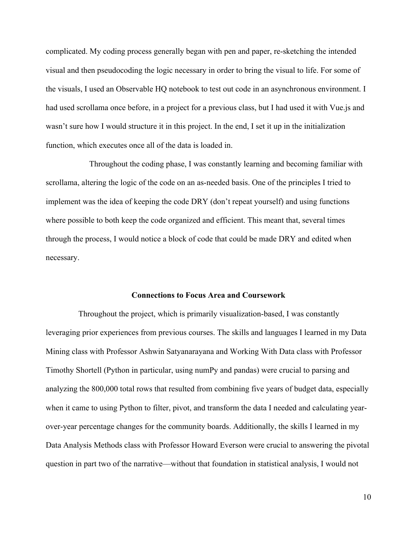complicated. My coding process generally began with pen and paper, re-sketching the intended visual and then pseudocoding the logic necessary in order to bring the visual to life. For some of the visuals, I used an Observable HQ notebook to test out code in an asynchronous environment. I had used scrollama once before, in a project for a previous class, but I had used it with Vue.js and wasn't sure how I would structure it in this project. In the end, I set it up in the initialization function, which executes once all of the data is loaded in.

Throughout the coding phase, I was constantly learning and becoming familiar with scrollama, altering the logic of the code on an as-needed basis. One of the principles I tried to implement was the idea of keeping the code DRY (don't repeat yourself) and using functions where possible to both keep the code organized and efficient. This meant that, several times through the process, I would notice a block of code that could be made DRY and edited when necessary.

#### **Connections to Focus Area and Coursework**

Throughout the project, which is primarily visualization-based, I was constantly leveraging prior experiences from previous courses. The skills and languages I learned in my Data Mining class with Professor Ashwin Satyanarayana and Working With Data class with Professor Timothy Shortell (Python in particular, using numPy and pandas) were crucial to parsing and analyzing the 800,000 total rows that resulted from combining five years of budget data, especially when it came to using Python to filter, pivot, and transform the data I needed and calculating yearover-year percentage changes for the community boards. Additionally, the skills I learned in my Data Analysis Methods class with Professor Howard Everson were crucial to answering the pivotal question in part two of the narrative—without that foundation in statistical analysis, I would not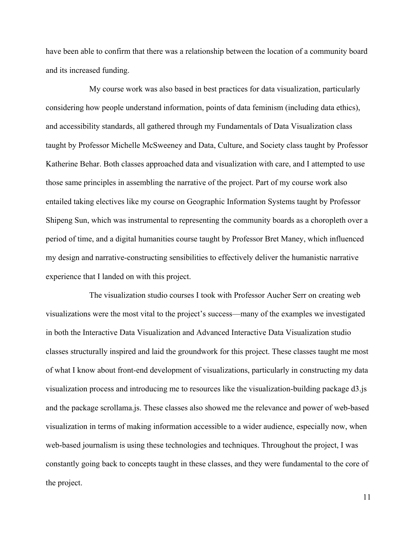have been able to confirm that there was a relationship between the location of a community board and its increased funding.

My course work was also based in best practices for data visualization, particularly considering how people understand information, points of data feminism (including data ethics), and accessibility standards, all gathered through my Fundamentals of Data Visualization class taught by Professor Michelle McSweeney and Data, Culture, and Society class taught by Professor Katherine Behar. Both classes approached data and visualization with care, and I attempted to use those same principles in assembling the narrative of the project. Part of my course work also entailed taking electives like my course on Geographic Information Systems taught by Professor Shipeng Sun, which was instrumental to representing the community boards as a choropleth over a period of time, and a digital humanities course taught by Professor Bret Maney, which influenced my design and narrative-constructing sensibilities to effectively deliver the humanistic narrative experience that I landed on with this project.

The visualization studio courses I took with Professor Aucher Serr on creating web visualizations were the most vital to the project's success—many of the examples we investigated in both the Interactive Data Visualization and Advanced Interactive Data Visualization studio classes structurally inspired and laid the groundwork for this project. These classes taught me most of what I know about front-end development of visualizations, particularly in constructing my data visualization process and introducing me to resources like the visualization-building package d3.js and the package scrollama.js. These classes also showed me the relevance and power of web-based visualization in terms of making information accessible to a wider audience, especially now, when web-based journalism is using these technologies and techniques. Throughout the project, I was constantly going back to concepts taught in these classes, and they were fundamental to the core of the project.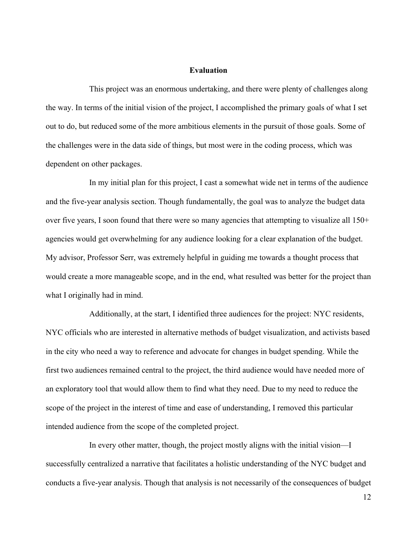#### **Evaluation**

This project was an enormous undertaking, and there were plenty of challenges along the way. In terms of the initial vision of the project, I accomplished the primary goals of what I set out to do, but reduced some of the more ambitious elements in the pursuit of those goals. Some of the challenges were in the data side of things, but most were in the coding process, which was dependent on other packages.

In my initial plan for this project, I cast a somewhat wide net in terms of the audience and the five-year analysis section. Though fundamentally, the goal was to analyze the budget data over five years, I soon found that there were so many agencies that attempting to visualize all 150+ agencies would get overwhelming for any audience looking for a clear explanation of the budget. My advisor, Professor Serr, was extremely helpful in guiding me towards a thought process that would create a more manageable scope, and in the end, what resulted was better for the project than what I originally had in mind.

Additionally, at the start, I identified three audiences for the project: NYC residents, NYC officials who are interested in alternative methods of budget visualization, and activists based in the city who need a way to reference and advocate for changes in budget spending. While the first two audiences remained central to the project, the third audience would have needed more of an exploratory tool that would allow them to find what they need. Due to my need to reduce the scope of the project in the interest of time and ease of understanding, I removed this particular intended audience from the scope of the completed project.

In every other matter, though, the project mostly aligns with the initial vision—I successfully centralized a narrative that facilitates a holistic understanding of the NYC budget and conducts a five-year analysis. Though that analysis is not necessarily of the consequences of budget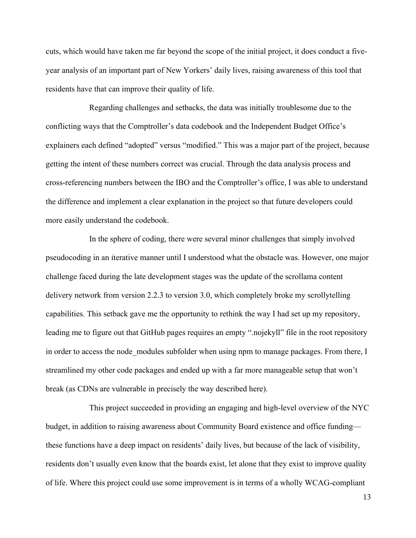cuts, which would have taken me far beyond the scope of the initial project, it does conduct a fiveyear analysis of an important part of New Yorkers' daily lives, raising awareness of this tool that residents have that can improve their quality of life.

Regarding challenges and setbacks, the data was initially troublesome due to the conflicting ways that the Comptroller's data codebook and the Independent Budget Office's explainers each defined "adopted" versus "modified." This was a major part of the project, because getting the intent of these numbers correct was crucial. Through the data analysis process and cross-referencing numbers between the IBO and the Comptroller's office, I was able to understand the difference and implement a clear explanation in the project so that future developers could more easily understand the codebook.

In the sphere of coding, there were several minor challenges that simply involved pseudocoding in an iterative manner until I understood what the obstacle was. However, one major challenge faced during the late development stages was the update of the scrollama content delivery network from version 2.2.3 to version 3.0, which completely broke my scrollytelling capabilities. This setback gave me the opportunity to rethink the way I had set up my repository, leading me to figure out that GitHub pages requires an empty ".nojekyll" file in the root repository in order to access the node modules subfolder when using npm to manage packages. From there, I streamlined my other code packages and ended up with a far more manageable setup that won't break (as CDNs are vulnerable in precisely the way described here).

This project succeeded in providing an engaging and high-level overview of the NYC budget, in addition to raising awareness about Community Board existence and office funding these functions have a deep impact on residents' daily lives, but because of the lack of visibility, residents don't usually even know that the boards exist, let alone that they exist to improve quality of life. Where this project could use some improvement is in terms of a wholly WCAG-compliant

13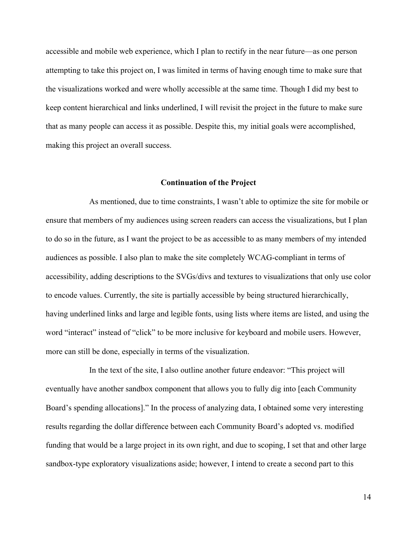accessible and mobile web experience, which I plan to rectify in the near future—as one person attempting to take this project on, I was limited in terms of having enough time to make sure that the visualizations worked and were wholly accessible at the same time. Though I did my best to keep content hierarchical and links underlined, I will revisit the project in the future to make sure that as many people can access it as possible. Despite this, my initial goals were accomplished, making this project an overall success.

#### **Continuation of the Project**

As mentioned, due to time constraints, I wasn't able to optimize the site for mobile or ensure that members of my audiences using screen readers can access the visualizations, but I plan to do so in the future, as I want the project to be as accessible to as many members of my intended audiences as possible. I also plan to make the site completely WCAG-compliant in terms of accessibility, adding descriptions to the SVGs/divs and textures to visualizations that only use color to encode values. Currently, the site is partially accessible by being structured hierarchically, having underlined links and large and legible fonts, using lists where items are listed, and using the word "interact" instead of "click" to be more inclusive for keyboard and mobile users. However, more can still be done, especially in terms of the visualization.

In the text of the site, I also outline another future endeavor: "This project will eventually have another sandbox component that allows you to fully dig into [each Community Board's spending allocations]." In the process of analyzing data, I obtained some very interesting results regarding the dollar difference between each Community Board's adopted vs. modified funding that would be a large project in its own right, and due to scoping, I set that and other large sandbox-type exploratory visualizations aside; however, I intend to create a second part to this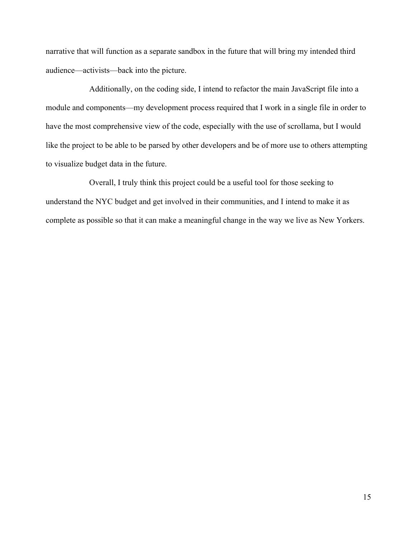narrative that will function as a separate sandbox in the future that will bring my intended third audience—activists—back into the picture.

Additionally, on the coding side, I intend to refactor the main JavaScript file into a module and components—my development process required that I work in a single file in order to have the most comprehensive view of the code, especially with the use of scrollama, but I would like the project to be able to be parsed by other developers and be of more use to others attempting to visualize budget data in the future.

Overall, I truly think this project could be a useful tool for those seeking to understand the NYC budget and get involved in their communities, and I intend to make it as complete as possible so that it can make a meaningful change in the way we live as New Yorkers.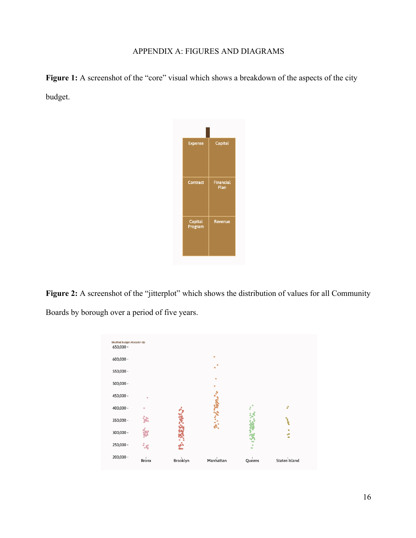#### APPENDIX A: FIGURES AND DIAGRAMS

Figure 1: A screenshot of the "core" visual which shows a breakdown of the aspects of the city budget.



**Figure 2:** A screenshot of the "jitterplot" which shows the distribution of values for all Community Boards by borough over a period of five years.

| Modified Budget Allocation (\$)<br>$650,000 -$ |                      |          |           |        |               |
|------------------------------------------------|----------------------|----------|-----------|--------|---------------|
| $600,000 -$                                    |                      |          | ٠         |        |               |
| $550,000 -$                                    |                      |          | ۰         |        |               |
| $500,000 -$                                    |                      |          |           |        |               |
| $450,000 -$                                    | $\ddot{\phantom{a}}$ |          |           |        |               |
| $400,000 -$                                    | ٠                    |          |           | å      | è             |
| $350,000 -$                                    |                      |          |           |        |               |
| $300,000 -$                                    |                      |          |           |        | 6             |
| $250,000 -$                                    | $\mathbf{g}$         |          |           | ۰      |               |
| $200,000 -$                                    | $\mathsf{Bronx}$     | Brooklyn | Manhattan | Queens | Staten Island |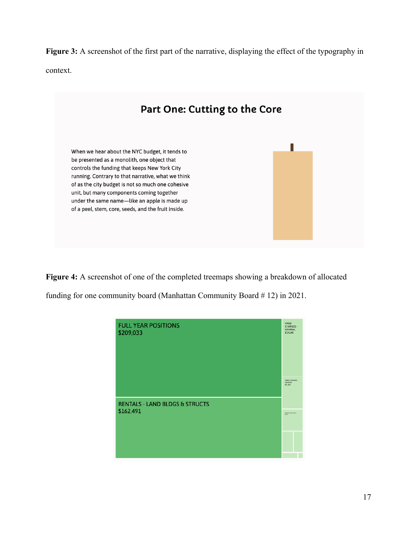**Figure 3:** A screenshot of the first part of the narrative, displaying the effect of the typography in context.



**Figure 4:** A screenshot of one of the completed treemaps showing a breakdown of allocated

funding for one community board (Manhattan Community Board # 12) in 2021.

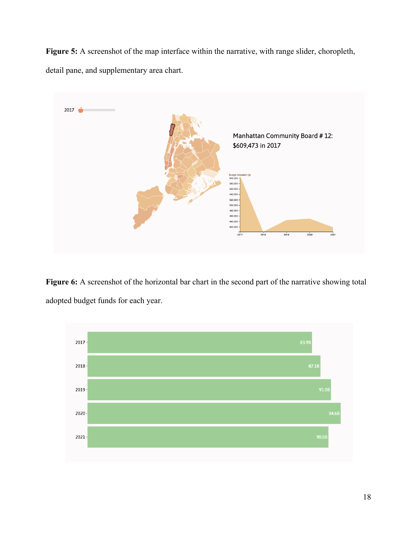**Figure 5:** A screenshot of the map interface within the narrative, with range slider, choropleth, detail pane, and supplementary area chart.



Figure 6: A screenshot of the horizontal bar chart in the second part of the narrative showing total adopted budget funds for each year.

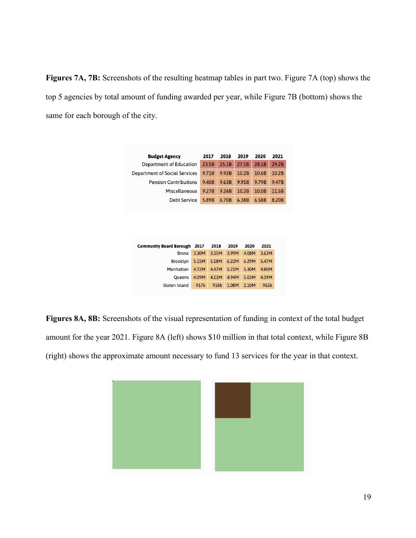**Figures 7A, 7B:** Screenshots of the resulting heatmap tables in part two. Figure 7A (top) shows the top 5 agencies by total amount of funding awarded per year, while Figure 7B (bottom) shows the same for each borough of the city.

| <b>Budget Agency</b>           |       | 2017  | 2018  | 2019  |       | 2020  | 2021  |
|--------------------------------|-------|-------|-------|-------|-------|-------|-------|
| Department of Education        |       | 23.5B | 25.1B | 27.1B |       | 28.1B | 29.2B |
| Department of Social Services  |       | 9.71B | 9.92B | 10.2B |       | 10.6B | 10.2B |
| <b>Pension Contributions</b>   |       | 9.40B | 9.63B | 9.95B |       | 9.79B | 9.47B |
| Miscellaneous                  |       | 9.27B | 9.26B | 10.2B |       | 10.0B | 11.5B |
| <b>Debt Service</b>            |       | 5.89B | 6.70B | 6.38B |       | 6.58B | 8.20B |
|                                |       |       |       |       |       |       |       |
|                                |       |       |       |       |       |       |       |
|                                |       |       |       |       |       |       |       |
|                                |       |       |       |       |       |       |       |
| <b>Community Board Borough</b> | 2017  | 2018  | 2019  |       | 2020  | 2021  |       |
| <b>Bronx</b>                   | 3.30M | 3.35M | 3.99M |       | 4.08M | 3.63M |       |
| Brooklyn                       | 5.15M | 5.18M | 6.22M |       | 6.29M | 5.47M |       |
| Manhattan                      | 4.72M | 4.47M | 5.21M |       | 5.30M | 4.80M |       |
| Queens                         | 4.09M | 4.13M | 4.94M |       | 5.03M | 4.39M |       |
| Staten Island                  | 917k  | 918k  | 1.08M |       | 1.10M | 961k  |       |

**Figures 8A, 8B:** Screenshots of the visual representation of funding in context of the total budget amount for the year 2021. Figure 8A (left) shows \$10 million in that total context, while Figure 8B (right) shows the approximate amount necessary to fund 13 services for the year in that context.

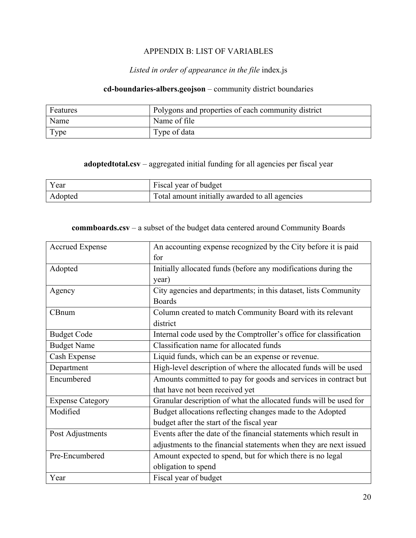## APPENDIX B: LIST OF VARIABLES

## *Listed in order of appearance in the file* index.js

#### **cd-boundaries-albers.geojson** – community district boundaries

| Features | Polygons and properties of each community district |
|----------|----------------------------------------------------|
| Name     | Name of file                                       |
| Type     | Type of data                                       |

## **adoptedtotal.csv** – aggregated initial funding for all agencies per fiscal year

| Year    | Fiscal year of budget                          |
|---------|------------------------------------------------|
| Adopted | Total amount initially awarded to all agencies |

## **commboards.csv** – a subset of the budget data centered around Community Boards

| <b>Accrued Expense</b>  | An accounting expense recognized by the City before it is paid    |
|-------------------------|-------------------------------------------------------------------|
|                         | for                                                               |
| Adopted                 | Initially allocated funds (before any modifications during the    |
|                         | year)                                                             |
| Agency                  | City agencies and departments; in this dataset, lists Community   |
|                         | <b>Boards</b>                                                     |
| CBnum                   | Column created to match Community Board with its relevant         |
|                         | district                                                          |
| <b>Budget Code</b>      | Internal code used by the Comptroller's office for classification |
| <b>Budget Name</b>      | Classification name for allocated funds                           |
| Cash Expense            | Liquid funds, which can be an expense or revenue.                 |
| Department              | High-level description of where the allocated funds will be used  |
| Encumbered              | Amounts committed to pay for goods and services in contract but   |
|                         | that have not been received yet                                   |
| <b>Expense Category</b> | Granular description of what the allocated funds will be used for |
| Modified                | Budget allocations reflecting changes made to the Adopted         |
|                         | budget after the start of the fiscal year                         |
| Post Adjustments        | Events after the date of the financial statements which result in |
|                         | adjustments to the financial statements when they are next issued |
| Pre-Encumbered          | Amount expected to spend, but for which there is no legal         |
|                         | obligation to spend                                               |
| Year                    | Fiscal year of budget                                             |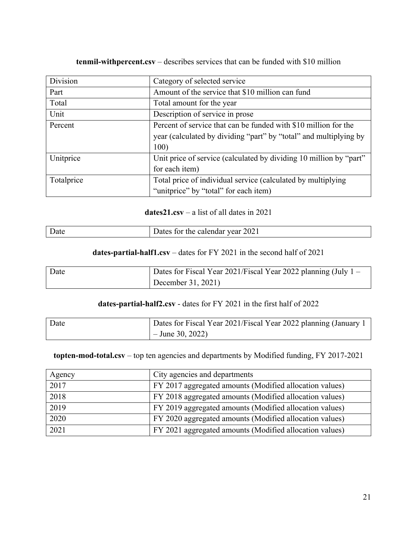**tenmil-withpercent.csv** – describes services that can be funded with \$10 million

| Division   | Category of selected service                                       |
|------------|--------------------------------------------------------------------|
| Part       | Amount of the service that \$10 million can fund                   |
| Total      | Total amount for the year                                          |
| Unit       | Description of service in prose                                    |
| Percent    | Percent of service that can be funded with \$10 million for the    |
|            | year (calculated by dividing "part" by "total" and multiplying by  |
|            | 100)                                                               |
| Unitprice  | Unit price of service (calculated by dividing 10 million by "part" |
|            | for each item)                                                     |
| Totalprice | Total price of individual service (calculated by multiplying       |
|            | "unitprice" by "total" for each item)                              |

#### **dates21.csv** – a list of all dates in 2021

| 202<br>calendar year<br>the<br>. Jate<br>. |  |
|--------------------------------------------|--|
|--------------------------------------------|--|

## **dates-partial-half1.csv** – dates for FY 2021 in the second half of 2021

| Date | Dates for Fiscal Year 2021/Fiscal Year 2022 planning (July $1 -$ |
|------|------------------------------------------------------------------|
|      | December 31, 2021)                                               |

## **dates-partial-half2.csv** - dates for FY 2021 in the first half of 2022

| Date | Dates for Fiscal Year 2021/Fiscal Year 2022 planning (January 1) |
|------|------------------------------------------------------------------|
|      | $-$ June 30, 2022)                                               |

## **topten-mod-total.csv** – top ten agencies and departments by Modified funding, FY 2017-2021

| Agency | City agencies and departments                           |
|--------|---------------------------------------------------------|
| 2017   | FY 2017 aggregated amounts (Modified allocation values) |
| 2018   | FY 2018 aggregated amounts (Modified allocation values) |
| 2019   | FY 2019 aggregated amounts (Modified allocation values) |
| 2020   | FY 2020 aggregated amounts (Modified allocation values) |
| 2021   | FY 2021 aggregated amounts (Modified allocation values) |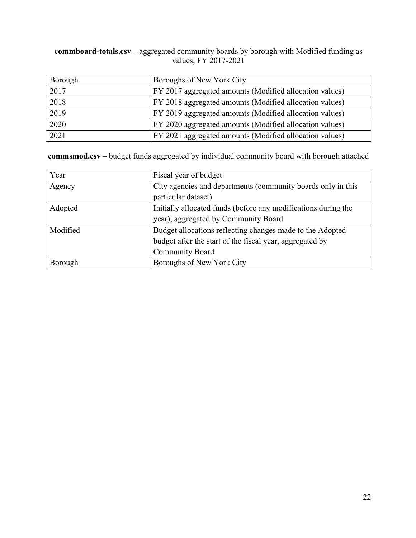## **commboard-totals.csv** – aggregated community boards by borough with Modified funding as values, FY 2017-2021

| Borough | Boroughs of New York City                               |
|---------|---------------------------------------------------------|
| 2017    | FY 2017 aggregated amounts (Modified allocation values) |
| 2018    | FY 2018 aggregated amounts (Modified allocation values) |
| 2019    | FY 2019 aggregated amounts (Modified allocation values) |
| 2020    | FY 2020 aggregated amounts (Modified allocation values) |
| 2021    | FY 2021 aggregated amounts (Modified allocation values) |

**commsmod.csv** – budget funds aggregated by individual community board with borough attached

| Year     | Fiscal year of budget                                          |
|----------|----------------------------------------------------------------|
| Agency   | City agencies and departments (community boards only in this   |
|          | particular dataset)                                            |
| Adopted  | Initially allocated funds (before any modifications during the |
|          | year), aggregated by Community Board                           |
| Modified | Budget allocations reflecting changes made to the Adopted      |
|          | budget after the start of the fiscal year, aggregated by       |
|          | <b>Community Board</b>                                         |
| Borough  | Boroughs of New York City                                      |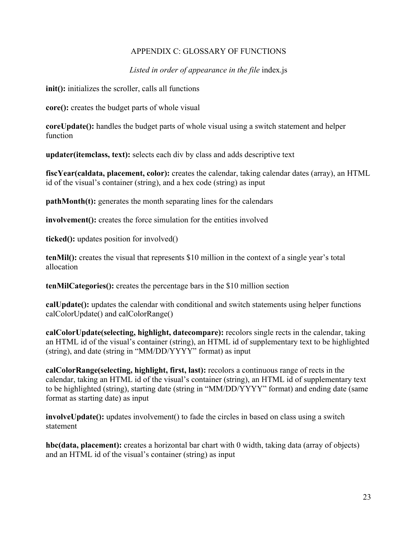#### APPENDIX C: GLOSSARY OF FUNCTIONS

*Listed in order of appearance in the file* index.js

**init():** initializes the scroller, calls all functions

**core():** creates the budget parts of whole visual

**coreUpdate():** handles the budget parts of whole visual using a switch statement and helper function

**updater(itemclass, text):** selects each div by class and adds descriptive text

fiscYear(caldata, placement, color): creates the calendar, taking calendar dates (array), an HTML id of the visual's container (string), and a hex code (string) as input

**pathMonth(t):** generates the month separating lines for the calendars

**involvement():** creates the force simulation for the entities involved

**ticked():** updates position for involved()

**tenMil():** creates the visual that represents \$10 million in the context of a single year's total allocation

**tenMilCategories():** creates the percentage bars in the \$10 million section

**calUpdate():** updates the calendar with conditional and switch statements using helper functions calColorUpdate() and calColorRange()

**calColorUpdate(selecting, highlight, datecompare):** recolors single rects in the calendar, taking an HTML id of the visual's container (string), an HTML id of supplementary text to be highlighted (string), and date (string in "MM/DD/YYYY" format) as input

**calColorRange(selecting, highlight, first, last):** recolors a continuous range of rects in the calendar, taking an HTML id of the visual's container (string), an HTML id of supplementary text to be highlighted (string), starting date (string in "MM/DD/YYYY" format) and ending date (same format as starting date) as input

**involveUpdate():** updates involvement() to fade the circles in based on class using a switch statement

**hbc(data, placement):** creates a horizontal bar chart with 0 width, taking data (array of objects) and an HTML id of the visual's container (string) as input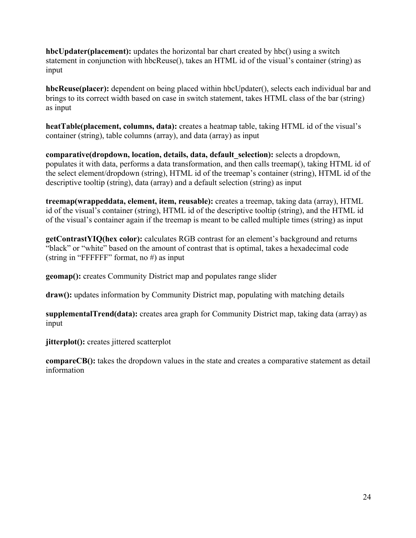**hbcUpdater(placement):** updates the horizontal bar chart created by hbc() using a switch statement in conjunction with hbcReuse(), takes an HTML id of the visual's container (string) as input

**hbcReuse(placer):** dependent on being placed within hbcUpdater(), selects each individual bar and brings to its correct width based on case in switch statement, takes HTML class of the bar (string) as input

**heatTable(placement, columns, data):** creates a heatmap table, taking HTML id of the visual's container (string), table columns (array), and data (array) as input

**comparative(dropdown, location, details, data, default\_selection):** selects a dropdown, populates it with data, performs a data transformation, and then calls treemap(), taking HTML id of the select element/dropdown (string), HTML id of the treemap's container (string), HTML id of the descriptive tooltip (string), data (array) and a default selection (string) as input

**treemap(wrappeddata, element, item, reusable):** creates a treemap, taking data (array), HTML id of the visual's container (string), HTML id of the descriptive tooltip (string), and the HTML id of the visual's container again if the treemap is meant to be called multiple times (string) as input

**getContrastYIQ(hex color):** calculates RGB contrast for an element's background and returns "black" or "white" based on the amount of contrast that is optimal, takes a hexadecimal code (string in "FFFFFF" format, no #) as input

**geomap():** creates Community District map and populates range slider

**draw():** updates information by Community District map, populating with matching details

**supplementalTrend(data):** creates area graph for Community District map, taking data (array) as input

**jitterplot():** creates jittered scatterplot

**compareCB():** takes the dropdown values in the state and creates a comparative statement as detail information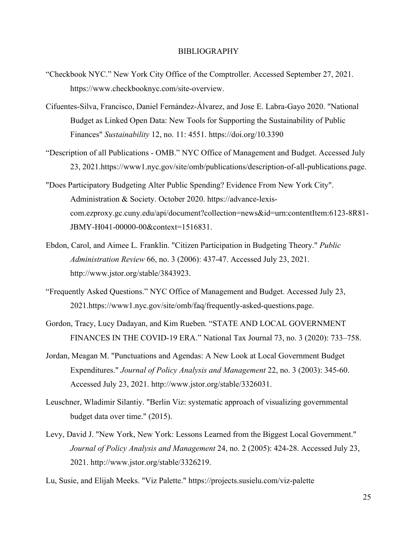#### BIBLIOGRAPHY

- "Checkbook NYC." New York City Office of the Comptroller. Accessed September 27, 2021. https://www.checkbooknyc.com/site-overview.
- Cifuentes-Silva, Francisco, Daniel Fernández-Álvarez, and Jose E. Labra-Gayo 2020. "National Budget as Linked Open Data: New Tools for Supporting the Sustainability of Public Finances" *Sustainability* 12, no. 11: 4551. https://doi.org/10.3390
- "Description of all Publications OMB." NYC Office of Management and Budget. Accessed July 23, 2021.https://www1.nyc.gov/site/omb/publications/description-of-all-publications.page.
- "Does Participatory Budgeting Alter Public Spending? Evidence From New York City". Administration & Society. October 2020. https://advance-lexiscom.ezproxy.gc.cuny.edu/api/document?collection=news&id=urn:contentItem:6123-8R81- JBMY-H041-00000-00&context=1516831.
- Ebdon, Carol, and Aimee L. Franklin. "Citizen Participation in Budgeting Theory." *Public Administration Review* 66, no. 3 (2006): 437-47. Accessed July 23, 2021. http://www.jstor.org/stable/3843923.
- "Frequently Asked Questions." NYC Office of Management and Budget. Accessed July 23, 2021.https://www1.nyc.gov/site/omb/faq/frequently-asked-questions.page.
- Gordon, Tracy, Lucy Dadayan, and Kim Rueben. "STATE AND LOCAL GOVERNMENT FINANCES IN THE COVID-19 ERA." National Tax Journal 73, no. 3 (2020): 733–758.
- Jordan, Meagan M. "Punctuations and Agendas: A New Look at Local Government Budget Expenditures." *Journal of Policy Analysis and Management* 22, no. 3 (2003): 345-60. Accessed July 23, 2021. http://www.jstor.org/stable/3326031.
- Leuschner, Wladimir Silantiy. "Berlin Viz: systematic approach of visualizing governmental budget data over time." (2015).
- Levy, David J. "New York, New York: Lessons Learned from the Biggest Local Government." *Journal of Policy Analysis and Management* 24, no. 2 (2005): 424-28. Accessed July 23, 2021. http://www.jstor.org/stable/3326219.
- Lu, Susie, and Elijah Meeks. "Viz Palette." https://projects.susielu.com/viz-palette